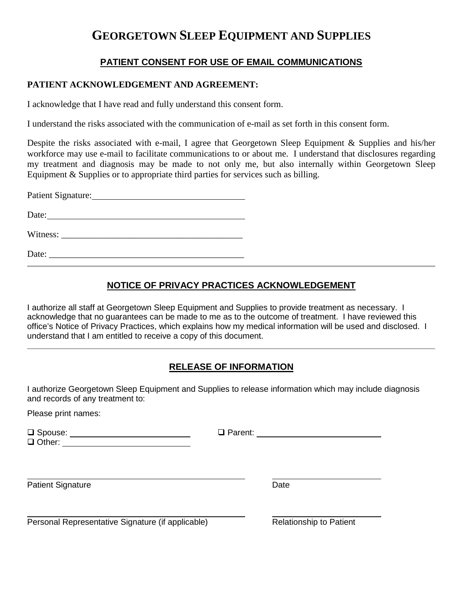# **GEORGETOWN SLEEP EQUIPMENT AND SUPPLIES**

### **PATIENT CONSENT FOR USE OF EMAIL COMMUNICATIONS**

### **PATIENT ACKNOWLEDGEMENT AND AGREEMENT:**

I acknowledge that I have read and fully understand this consent form.

I understand the risks associated with the communication of e-mail as set forth in this consent form.

Despite the risks associated with e-mail, I agree that Georgetown Sleep Equipment & Supplies and his/her workforce may use e-mail to facilitate communications to or about me. I understand that disclosures regarding my treatment and diagnosis may be made to not only me, but also internally within Georgetown Sleep Equipment & Supplies or to appropriate third parties for services such as billing.

Patient Signature: University of the Second Second Second Second Second Second Second Second Second Second Second Second Second Second Second Second Second Second Second Second Second Second Second Second Second Second Sec Date:

Witness:

 $Date:$ 

## **NOTICE OF PRIVACY PRACTICES ACKNOWLEDGEMENT**

I authorize all staff at Georgetown Sleep Equipment and Supplies to provide treatment as necessary. I acknowledge that no guarantees can be made to me as to the outcome of treatment. I have reviewed this office's Notice of Privacy Practices, which explains how my medical information will be used and disclosed. I understand that I am entitled to receive a copy of this document.

### **RELEASE OF INFORMATION**

I authorize Georgetown Sleep Equipment and Supplies to release information which may include diagnosis and records of any treatment to:

Please print names:

 Spouse: Parent: Other: **Details** and the set of the set of the set of the set of the set of the set of the set of the set of the set of the set of the set of the set of the set of the set of the set of the set of the set of the set of the

Patient Signature Date

Personal Representative Signature (if applicable) Relationship to Patient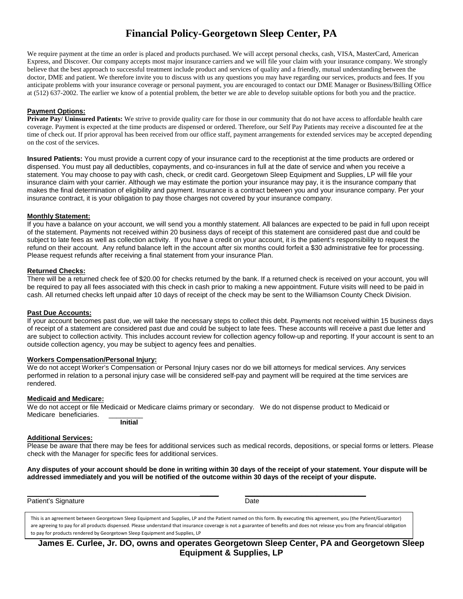# **Financial Policy-Georgetown Sleep Center, PA**

We require payment at the time an order is placed and products purchased. We will accept personal checks, cash, VISA, MasterCard, American Express, and Discover. Our company accepts most major insurance carriers and we will file your claim with your insurance company. We strongly believe that the best approach to successful treatment include product and services of quality and a friendly, mutual understanding between the doctor, DME and patient. We therefore invite you to discuss with us any questions you may have regarding our services, products and fees. If you anticipate problems with your insurance coverage or personal payment, you are encouraged to contact our DME Manager or Business/Billing Office at (512) 637-2002. The earlier we know of a potential problem, the better we are able to develop suitable options for both you and the practice.

#### **Payment Options:**

**Private Pay/ Uninsured Patients:** We strive to provide quality care for those in our community that do not have access to affordable health care coverage. Payment is expected at the time products are dispensed or ordered. Therefore, our Self Pay Patients may receive a discounted fee at the time of check out. If prior approval has been received from our office staff, payment arrangements for extended services may be accepted depending on the cost of the services.

**Insured Patients:** You must provide a current copy of your insurance card to the receptionist at the time products are ordered or dispensed. You must pay all deductibles, copayments, and co-insurances in full at the date of service and when you receive a statement. You may choose to pay with cash, check, or credit card. Georgetown Sleep Equipment and Supplies, LP will file your insurance claim with your carrier. Although we may estimate the portion your insurance may pay, it is the insurance company that makes the final determination of eligibility and payment. Insurance is a contract between you and your insurance company. Per your insurance contract, it is your obligation to pay those charges not covered by your insurance company.

#### **Monthly Statement:**

If you have a balance on your account, we will send you a monthly statement. All balances are expected to be paid in full upon receipt of the statement. Payments not received within 20 business days of receipt of this statement are considered past due and could be subject to late fees as well as collection activity. If you have a credit on your account, it is the patient's responsibility to request the refund on their account. Any refund balance left in the account after six months could forfeit a \$30 administrative fee for processing. Please request refunds after receiving a final statement from your insurance Plan.

#### **Returned Checks:**

There will be a returned check fee of \$20.00 for checks returned by the bank. If a returned check is received on your account, you will be required to pay all fees associated with this check in cash prior to making a new appointment. Future visits will need to be paid in cash. All returned checks left unpaid after 10 days of receipt of the check may be sent to the Williamson County Check Division.

#### **Past Due Accounts:**

If your account becomes past due, we will take the necessary steps to collect this debt. Payments not received within 15 business days of receipt of a statement are considered past due and could be subject to late fees. These accounts will receive a past due letter and are subject to collection activity. This includes account review for collection agency follow-up and reporting. If your account is sent to an outside collection agency, you may be subject to agency fees and penalties.

#### **Workers Compensation/Personal Injury:**

We do not accept Worker's Compensation or Personal Injury cases nor do we bill attorneys for medical services. Any services performed in relation to a personal injury case will be considered self-pay and payment will be required at the time services are rendered.

#### **Medicaid and Medicare:**

We do not accept or file Medicaid or Medicare claims primary or secondary. We do not dispense product to Medicaid or Medicare beneficiaries.

**Initial**

#### **Additional Services:**

Please be aware that there may be fees for additional services such as medical records, depositions, or special forms or letters. Please check with the Manager for specific fees for additional services.

**Any disputes of your account should be done in writing within 30 days of the receipt of your statement. Your dispute will be addressed immediately and you will be notified of the outcome within 30 days of the receipt of your dispute.**

Patient's Signature **Date** Date of **Patient's** Signature **Date** 

 **\_\_\_\_\_ \_\_\_\_\_\_\_\_\_\_\_\_\_\_\_\_\_\_\_\_\_\_\_\_\_\_\_\_\_\_\_\_**

This is an agreement between Georgetown Sleep Equipment and Supplies, LP and the Patient named on this form. By executing this agreement, you (the Patient/Guarantor) are agreeing to pay for all products dispensed. Please understand that insurance coverage is not a guarantee of benefits and does not release you from any financial obligation to pay for products rendered by Georgetown Sleep Equipment and Supplies, LP

**James E. Curlee, Jr. DO, owns and operates Georgetown Sleep Center, PA and Georgetown Sleep Equipment & Supplies, LP**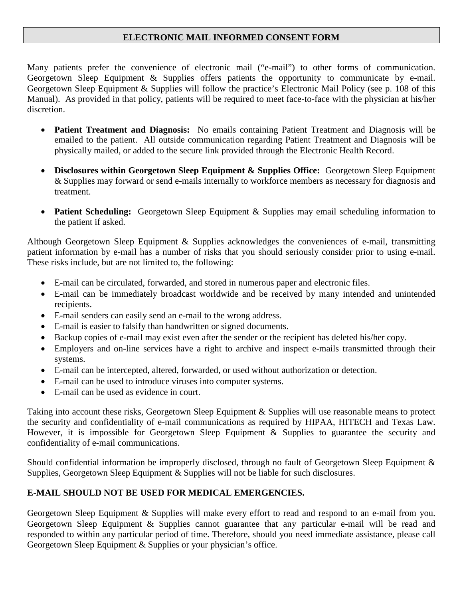### **ELECTRONIC MAIL INFORMED CONSENT FORM**

Many patients prefer the convenience of electronic mail ("e-mail") to other forms of communication. Georgetown Sleep Equipment & Supplies offers patients the opportunity to communicate by e-mail. Georgetown Sleep Equipment & Supplies will follow the practice's Electronic Mail Policy (see p. 108 of this Manual). As provided in that policy, patients will be required to meet face-to-face with the physician at his/her discretion.

- **Patient Treatment and Diagnosis:** No emails containing Patient Treatment and Diagnosis will be emailed to the patient. All outside communication regarding Patient Treatment and Diagnosis will be physically mailed, or added to the secure link provided through the Electronic Health Record.
- **Disclosures within Georgetown Sleep Equipment & Supplies Office:** Georgetown Sleep Equipment & Supplies may forward or send e-mails internally to workforce members as necessary for diagnosis and treatment.
- **Patient Scheduling:** Georgetown Sleep Equipment & Supplies may email scheduling information to the patient if asked.

Although Georgetown Sleep Equipment & Supplies acknowledges the conveniences of e-mail, transmitting patient information by e-mail has a number of risks that you should seriously consider prior to using e-mail. These risks include, but are not limited to, the following:

- E-mail can be circulated, forwarded, and stored in numerous paper and electronic files.
- E-mail can be immediately broadcast worldwide and be received by many intended and unintended recipients.
- E-mail senders can easily send an e-mail to the wrong address.
- E-mail is easier to falsify than handwritten or signed documents.
- Backup copies of e-mail may exist even after the sender or the recipient has deleted his/her copy.
- Employers and on-line services have a right to archive and inspect e-mails transmitted through their systems.
- E-mail can be intercepted, altered, forwarded, or used without authorization or detection.
- E-mail can be used to introduce viruses into computer systems.
- E-mail can be used as evidence in court.

Taking into account these risks, Georgetown Sleep Equipment & Supplies will use reasonable means to protect the security and confidentiality of e-mail communications as required by HIPAA, HITECH and Texas Law. However, it is impossible for Georgetown Sleep Equipment & Supplies to guarantee the security and confidentiality of e-mail communications.

Should confidential information be improperly disclosed, through no fault of Georgetown Sleep Equipment & Supplies, Georgetown Sleep Equipment & Supplies will not be liable for such disclosures.

### **E-MAIL SHOULD NOT BE USED FOR MEDICAL EMERGENCIES.**

Georgetown Sleep Equipment & Supplies will make every effort to read and respond to an e-mail from you. Georgetown Sleep Equipment & Supplies cannot guarantee that any particular e-mail will be read and responded to within any particular period of time. Therefore, should you need immediate assistance, please call Georgetown Sleep Equipment & Supplies or your physician's office.